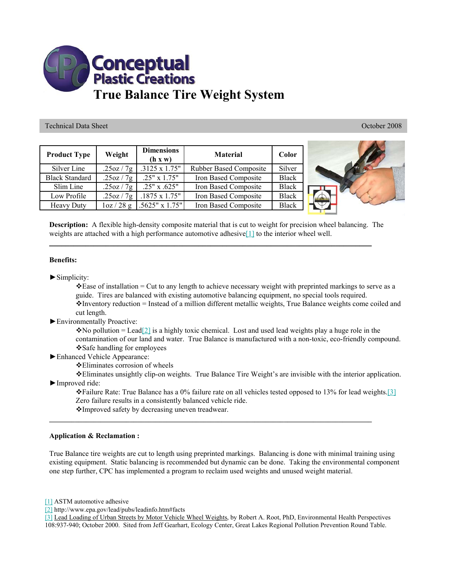

Technical Data Sheet October 2008

| <b>Product Type</b>   | Weight      | <b>Dimensions</b><br>(h x w) | <b>Material</b>               | Color        |
|-----------------------|-------------|------------------------------|-------------------------------|--------------|
| Silver Line           | .25oz/7g    | .3125 x 1.75"                | <b>Rubber Based Composite</b> | Silver       |
| <b>Black Standard</b> | .25oz / 7g  | $.25" \times 1.75"$          | Iron Based Composite          | <b>Black</b> |
| Slim Line             | .25oz/7g    | .25" x .625"                 | Iron Based Composite          | <b>Black</b> |
| Low Profile           | .25oz/7g    | $.1875 \times 1.75$ "        | Iron Based Composite          | <b>Black</b> |
| <b>Heavy Duty</b>     | $\log/28$ g | $.5625" \times 1.75"$        | Iron Based Composite          | <b>Black</b> |



**Description:** A flexible high-density composite material that is cut to weight for precision wheel balancing. The weights are attached with a high performance automotive adhesive<sup>[1]</sup> to the interior wheel well.

**\_\_\_\_\_\_\_\_\_\_\_\_\_\_\_\_\_\_\_\_\_\_\_\_\_\_\_\_\_\_\_\_\_\_\_\_\_\_\_\_\_\_\_\_\_\_\_\_\_\_\_\_\_\_\_\_\_\_\_\_\_\_\_\_\_\_\_\_\_\_\_\_\_\_\_\_\_\_\_\_**

## **Benefits:**

 $\blacktriangleright$  Simplicity:

 $\triangle$  Ease of installation = Cut to any length to achieve necessary weight with preprinted markings to serve as a guide. Tires are balanced with existing automotive balancing equipment, no special tools required. Inventory reduction = Instead of a million different metallic weights, True Balance weights come coiled and cut length.

►Environmentally Proactive:

 $\bullet$  No pollution = Lead[2] is a highly toxic chemical. Lost and used lead weights play a huge role in the contamination of our land and water. True Balance is manufactured with a non-toxic, eco-friendly compound. Safe handling for employees

►Enhanced Vehicle Appearance:

Eliminates corrosion of wheels

Eliminates unsightly clip-on weights. True Balance Tire Weight's are invisible with the interior application. ►Improved ride:

 $\div$  Failure Rate: True Balance has a 0% failure rate on all vehicles tested opposed to 13% for lead weights.[3] Zero failure results in a consistently balanced vehicle ride.

Improved safety by decreasing uneven treadwear.

## **Application & Reclamation :**

True Balance tire weights are cut to length using preprinted markings. Balancing is done with minimal training using existing equipment. Static balancing is recommended but dynamic can be done. Taking the environmental component one step further, CPC has implemented a program to reclaim used weights and unused weight material.

[1] ASTM automotive adhesive

[2] http://www.epa.gov/lead/pubs/leadinfo.htm#facts

[3] Lead Loading of Urban Streets by Motor Vehicle Wheel Weights, by Robert A. Root, PhD, Environmental Health Perspectives 108:937-940; October 2000. Sited from Jeff Gearhart, Ecology Center, Great Lakes Regional Pollution Prevention Round Table.